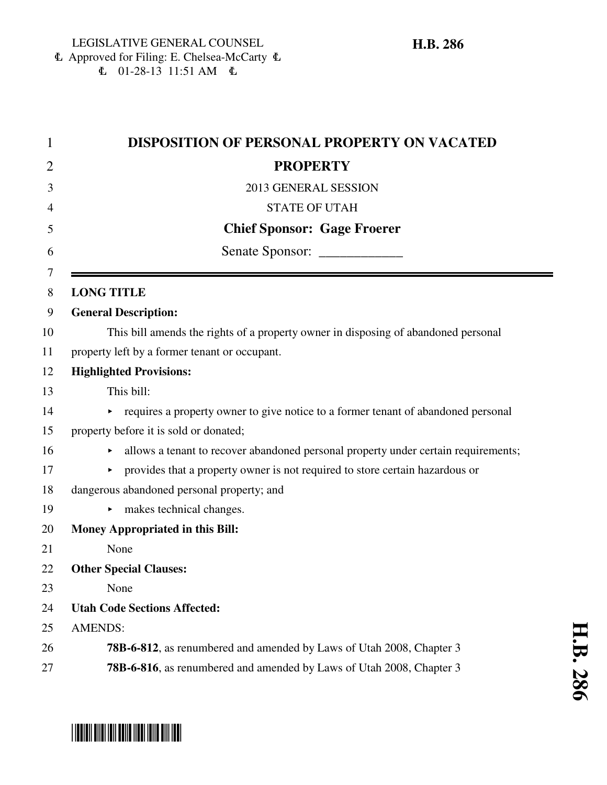6 Approved for Filing: E. Chelsea-McCarty 6  $\text{L}$  01-28-13 11:51 AM  $\text{L}$ 

| <b>DISPOSITION OF PERSONAL PROPERTY ON VACATED</b>                                                    |
|-------------------------------------------------------------------------------------------------------|
| <b>PROPERTY</b>                                                                                       |
| 2013 GENERAL SESSION                                                                                  |
| <b>STATE OF UTAH</b>                                                                                  |
| <b>Chief Sponsor: Gage Froerer</b>                                                                    |
| Senate Sponsor: ______________                                                                        |
| <b>LONG TITLE</b>                                                                                     |
| <b>General Description:</b>                                                                           |
| This bill amends the rights of a property owner in disposing of abandoned personal                    |
| property left by a former tenant or occupant.                                                         |
| <b>Highlighted Provisions:</b>                                                                        |
| This bill:                                                                                            |
| requires a property owner to give notice to a former tenant of abandoned personal                     |
| property before it is sold or donated;                                                                |
| allows a tenant to recover abandoned personal property under certain requirements;                    |
| provides that a property owner is not required to store certain hazardous or<br>$\blacktriangleright$ |
| dangerous abandoned personal property; and                                                            |
| makes technical changes.                                                                              |
| <b>Money Appropriated in this Bill:</b>                                                               |
| None                                                                                                  |
| <b>Other Special Clauses:</b>                                                                         |
| None                                                                                                  |
| <b>Utah Code Sections Affected:</b>                                                                   |
| <b>AMENDS:</b>                                                                                        |
| <b>78B-6-812</b> , as renumbered and amended by Laws of Utah 2008, Chapter 3                          |
| 78B-6-816, as renumbered and amended by Laws of Utah 2008, Chapter 3                                  |

# \*HB0286\*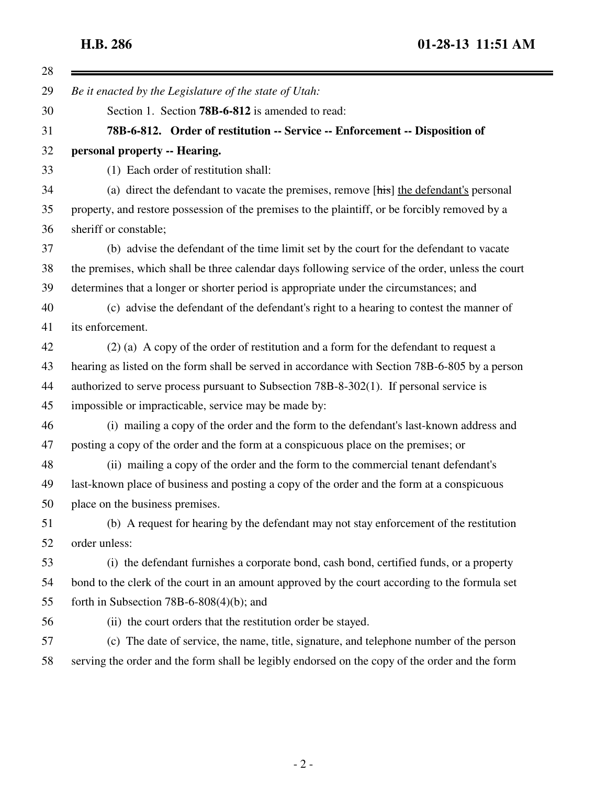28 =

**H.B. 286 01-28-13 11:51 AM**

 $\blacksquare$ 

| 29 | Be it enacted by the Legislature of the state of Utah:                                            |
|----|---------------------------------------------------------------------------------------------------|
| 30 | Section 1. Section 78B-6-812 is amended to read:                                                  |
| 31 | 78B-6-812. Order of restitution -- Service -- Enforcement -- Disposition of                       |
| 32 | personal property -- Hearing.                                                                     |
| 33 | (1) Each order of restitution shall:                                                              |
| 34 | (a) direct the defendant to vacate the premises, remove [his] the defendant's personal            |
| 35 | property, and restore possession of the premises to the plaintiff, or be forcibly removed by a    |
| 36 | sheriff or constable;                                                                             |
| 37 | (b) advise the defendant of the time limit set by the court for the defendant to vacate           |
| 38 | the premises, which shall be three calendar days following service of the order, unless the court |
| 39 | determines that a longer or shorter period is appropriate under the circumstances; and            |
| 40 | (c) advise the defendant of the defendant's right to a hearing to contest the manner of           |
| 41 | its enforcement.                                                                                  |
| 42 | $(2)$ (a) A copy of the order of restitution and a form for the defendant to request a            |
| 43 | hearing as listed on the form shall be served in accordance with Section 78B-6-805 by a person    |
| 44 | authorized to serve process pursuant to Subsection 78B-8-302(1). If personal service is           |
| 45 | impossible or impracticable, service may be made by:                                              |
| 46 | (i) mailing a copy of the order and the form to the defendant's last-known address and            |
| 47 | posting a copy of the order and the form at a conspicuous place on the premises; or               |
| 48 | (ii) mailing a copy of the order and the form to the commercial tenant defendant's                |
| 49 | last-known place of business and posting a copy of the order and the form at a conspicuous        |
| 50 | place on the business premises.                                                                   |
| 51 | (b) A request for hearing by the defendant may not stay enforcement of the restitution            |
| 52 | order unless:                                                                                     |
| 53 | (i) the defendant furnishes a corporate bond, cash bond, certified funds, or a property           |
| 54 | bond to the clerk of the court in an amount approved by the court according to the formula set    |
| 55 | forth in Subsection 78B-6-808(4)(b); and                                                          |
| 56 | (ii) the court orders that the restitution order be stayed.                                       |
| 57 | (c) The date of service, the name, title, signature, and telephone number of the person           |
| 58 | serving the order and the form shall be legibly endorsed on the copy of the order and the form    |
|    |                                                                                                   |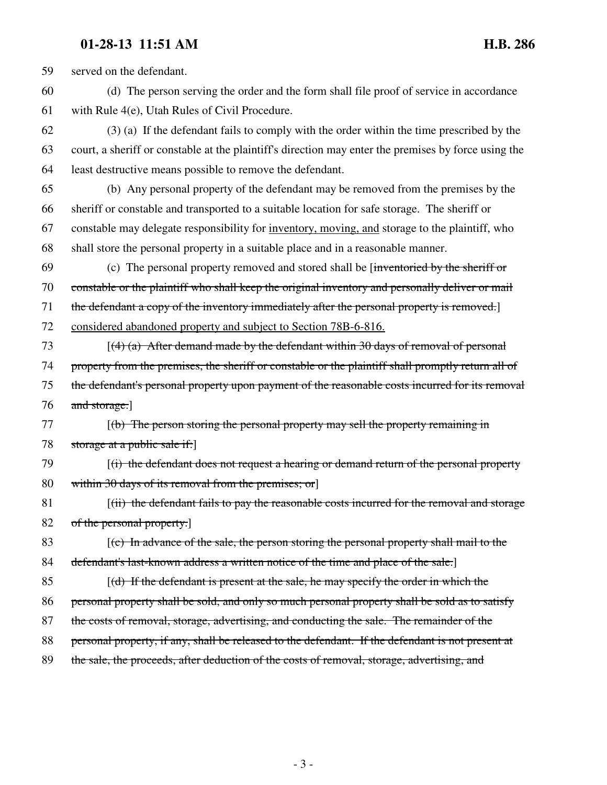## **01-28-13 11:51 AM H.B. 286**

59 served on the defendant. 60 (d) The person serving the order and the form shall file proof of service in accordance 61 with Rule 4(e), Utah Rules of Civil Procedure. 62 (3) (a) If the defendant fails to comply with the order within the time prescribed by the 63 court, a sheriff or constable at the plaintiff's direction may enter the premises by force using the 64 least destructive means possible to remove the defendant. 65 (b) Any personal property of the defendant may be removed from the premises by the 66 sheriff or constable and transported to a suitable location for safe storage. The sheriff or 67 constable may delegate responsibility for inventory, moving, and storage to the plaintiff, who 68 shall store the personal property in a suitable place and in a reasonable manner. 69 (c) The personal property removed and stored shall be [inventoried by the sheriff or 70 constable or the plaintiff who shall keep the original inventory and personally deliver or mail 71 the defendant a copy of the inventory immediately after the personal property is removed.] 72 considered abandoned property and subject to Section 78B-6-816. 73  $[(4)$  (a) After demand made by the defendant within 30 days of removal of personal 74 property from the premises, the sheriff or constable or the plaintiff shall promptly return all of 75 the defendant's personal property upon payment of the reasonable costs incurred for its removal 76 and storage. 77 [(b) The person storing the personal property may sell the property remaining in 78 storage at a public sale if: 79 [(i) the defendant does not request a hearing or demand return of the personal property 80 within 30 days of its removal from the premises; or 81 [(ii) the defendant fails to pay the reasonable costs incurred for the removal and storage 82 of the personal property.] 83 [(c) In advance of the sale, the person storing the personal property shall mail to the 84 defendant's last-known address a written notice of the time and place of the sale.] 85  $[(d)$  If the defendant is present at the sale, he may specify the order in which the 86 personal property shall be sold, and only so much personal property shall be sold as to satisfy 87 the costs of removal, storage, advertising, and conducting the sale. The remainder of the 88 personal property, if any, shall be released to the defendant. If the defendant is not present at 89 the sale, the proceeds, after deduction of the costs of removal, storage, advertising, and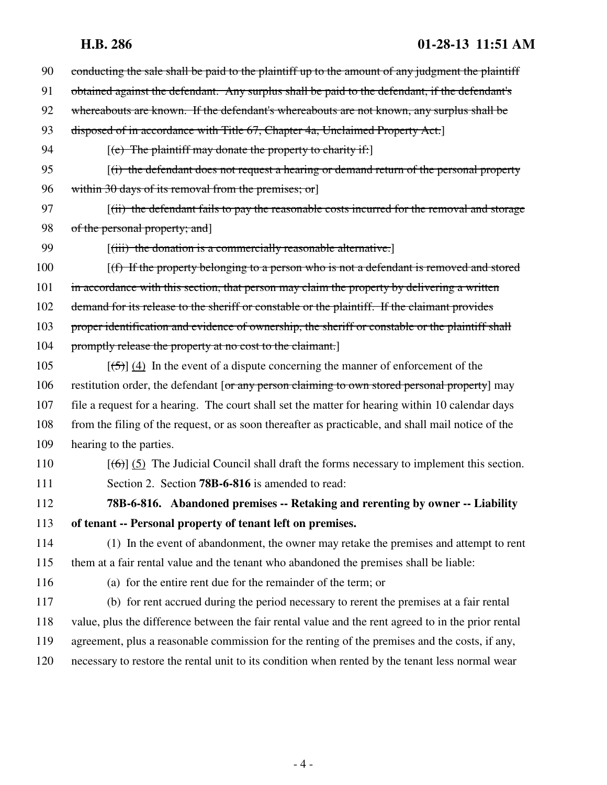## **H.B. 286 01-28-13 11:51 AM**

| 90  | conducting the sale shall be paid to the plaintiff up to the amount of any judgment the plaintiff           |
|-----|-------------------------------------------------------------------------------------------------------------|
| 91  | obtained against the defendant. Any surplus shall be paid to the defendant, if the defendant's              |
| 92  | whereabouts are known. If the defendant's whereabouts are not known, any surplus shall be                   |
| 93  | disposed of in accordance with Title 67, Chapter 4a, Unclaimed Property Act.]                               |
| 94  | $[$ (e) The plaintiff may donate the property to charity if:                                                |
| 95  | $(i)$ the defendant does not request a hearing or demand return of the personal property                    |
| 96  | within 30 days of its removal from the premises; or                                                         |
| 97  | $(iii)$ the defendant fails to pay the reasonable costs incurred for the removal and storage                |
| 98  | of the personal property; and]                                                                              |
| 99  | $[(iii)$ the donation is a commercially reasonable alternative.                                             |
| 100 | $(f)$ If the property belonging to a person who is not a defendant is removed and stored                    |
| 101 | in accordance with this section, that person may claim the property by delivering a written                 |
| 102 | demand for its release to the sheriff or constable or the plaintiff. If the claimant provides               |
| 103 | proper identification and evidence of ownership, the sheriff or constable or the plaintiff shall            |
| 104 | promptly release the property at no cost to the claimant.]                                                  |
| 105 | $[\frac{(-5)}{4}]$ In the event of a dispute concerning the manner of enforcement of the                    |
| 106 | restitution order, the defendant [or any person claiming to own stored personal property] may               |
| 107 | file a request for a hearing. The court shall set the matter for hearing within 10 calendar days            |
| 108 | from the filing of the request, or as soon thereafter as practicable, and shall mail notice of the          |
| 109 | hearing to the parties.                                                                                     |
| 110 | $[\text{(\textbf{6})}]$ (5) The Judicial Council shall draft the forms necessary to implement this section. |
| 111 | Section 2. Section <b>78B-6-816</b> is amended to read:                                                     |
| 112 | 78B-6-816. Abandoned premises -- Retaking and rerenting by owner -- Liability                               |
| 113 | of tenant -- Personal property of tenant left on premises.                                                  |
| 114 | (1) In the event of abandonment, the owner may retake the premises and attempt to rent                      |
| 115 | them at a fair rental value and the tenant who abandoned the premises shall be liable:                      |
| 116 | (a) for the entire rent due for the remainder of the term; or                                               |
| 117 | (b) for rent accrued during the period necessary to rerent the premises at a fair rental                    |
| 118 | value, plus the difference between the fair rental value and the rent agreed to in the prior rental         |
| 119 | agreement, plus a reasonable commission for the renting of the premises and the costs, if any,              |
| 120 | necessary to restore the rental unit to its condition when rented by the tenant less normal wear            |
|     |                                                                                                             |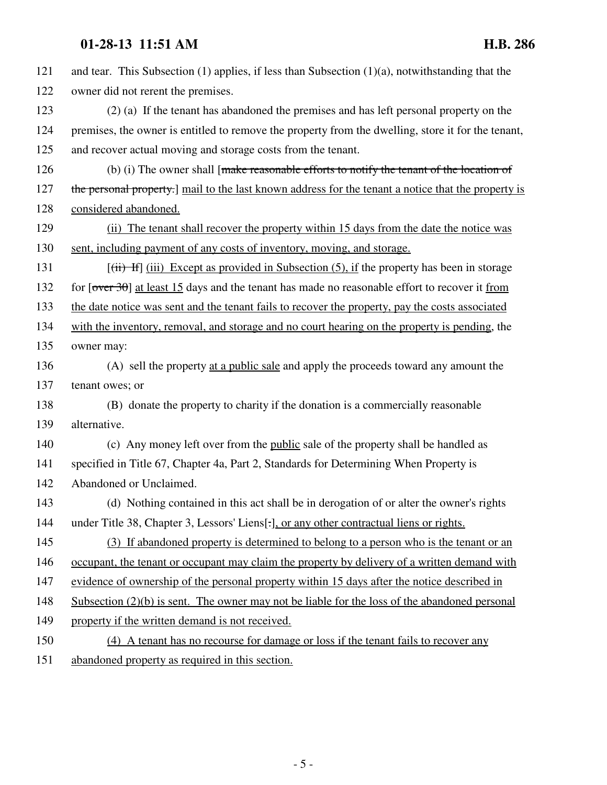### **01-28-13 11:51 AM H.B. 286**

121 and tear. This Subsection (1) applies, if less than Subsection (1)(a), notwithstanding that the 122 owner did not rerent the premises. 123 (2) (a) If the tenant has abandoned the premises and has left personal property on the 124 premises, the owner is entitled to remove the property from the dwelling, store it for the tenant, 125 and recover actual moving and storage costs from the tenant. 126 (b) (i) The owner shall [make reasonable efforts to notify the tenant of the location of 127 the personal property.] mail to the last known address for the tenant a notice that the property is 128 considered abandoned. 129 (ii) The tenant shall recover the property within 15 days from the date the notice was 130 sent, including payment of any costs of inventory, moving, and storage. 131  $[(iii)$  If  $[1ii)$  Except as provided in Subsection (5), if the property has been in storage 132 for  $\sqrt{6}$  for  $\sqrt{30}$  at least 15 days and the tenant has made no reasonable effort to recover it from 133 the date notice was sent and the tenant fails to recover the property, pay the costs associated 134 with the inventory, removal, and storage and no court hearing on the property is pending, the 135 owner may: 136 (A) sell the property at a public sale and apply the proceeds toward any amount the 137 tenant owes; or 138 (B) donate the property to charity if the donation is a commercially reasonable 139 alternative. 140 (c) Any money left over from the public sale of the property shall be handled as 141 specified in Title 67, Chapter 4a, Part 2, Standards for Determining When Property is 142 Abandoned or Unclaimed. 143 (d) Nothing contained in this act shall be in derogation of or alter the owner's rights 144 under Title 38, Chapter 3, Lessors' Liens[.], or any other contractual liens or rights. 145 (3) If abandoned property is determined to belong to a person who is the tenant or an 146 occupant, the tenant or occupant may claim the property by delivery of a written demand with 147 evidence of ownership of the personal property within 15 days after the notice described in 148 Subsection (2)(b) is sent. The owner may not be liable for the loss of the abandoned personal 149 property if the written demand is not received. 150 (4) A tenant has no recourse for damage or loss if the tenant fails to recover any

151 abandoned property as required in this section.